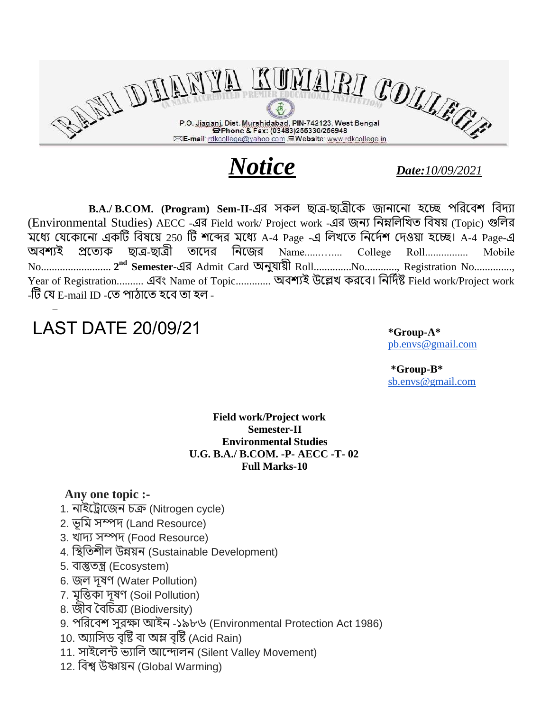

*Notice Date:10/09/2021*

B.A./ [B.COM.](http://b.com/) (Program) Sem-II-এর সকল ছাত্র-ছাত্রীকে জানানো হচ্ছে পরিবেশ বিদ্যা (Environmental Studies) AECC -এর Field work/ Project work -এর জনয রনম্নররিত রেয় (Topic) গুরর মধ্যে যেকোনো একটি বিষয়ে 250 টি শব্দের মধ্যে A-4 Page -এ লিখতে নির্দেশ দেওয়া হচ্ছে। A-4 Page-এ অবশ্যই প্রত্যেক ছাত্র-ছাত্রী তাদের নিজের Name.............. College Roll................. Mobile No.......................... **2 nd Semester**-এর Admit Card অনুযায়ী Roll..............No............, Registration No.............., Year of Registration.......... এবং Name of Topic............. অবশ্যই উল্লেখ করবে। নির্দিষ্ট Field work/Project work -টি যে E-mail ID -তে পাঠাতে হবে তা হল -

## LAST DATE 20/09/21

–

**\*Group-A\*** [pb.envs@gmail.com](mailto:pb.envs@gmail.com)

**\*Group-B\*** [sb.envs@gmail.com](mailto:sb.envs@gmail.com)

## **Field work/Project work Semester-II Environmental Studies U.G. B.A./ [B.COM.](http://b.com/) -P- AECC -T- 02 Full Marks-10**

## **Any one topic :-**

- 1. নাইকরাকজন চক্র (Nitrogen cycle)
- 2. ভূরম ম্পদ্ (Land Resource)
- 3. িাদ্য ম্পদ্ (Food Resource)
- 4. স্থিতিশীল উন্নয়ন (Sustainable Development)
- 5. োস্তুতন্ত্র (Ecosystem)
- 6. জল দুষণ (Water Pollution)
- 7. মৃত্তিকা দূষণ (Soil Pollution)
- 8. জীে বেরচত্রয (Biodiversity)
- 9. পররকেল ুরক্ষা আইন -১৯৮৬ (Environmental Protection Act 1986)
- 10. অ্যাসিড বৃষ্টি বা অম্ল বৃষ্টি (Acid Rain)
- 11. সাইলেন্ট ভ্যালি আন্দোলন (Silent Valley Movement)
- 12. রেশ্ব উষ্ণায়ন (Global Warming)